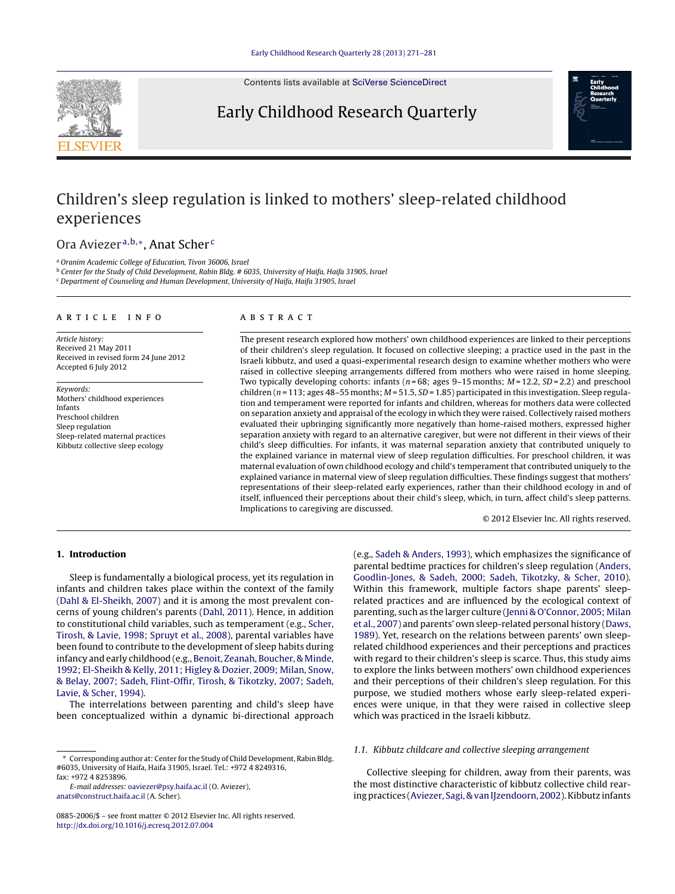Contents lists available at SciVerse [ScienceDirect](http://www.sciencedirect.com/science/journal/08852006)

## Early Childhood Research Quarterly



# Children's sleep regulation is linked to mothers' sleep-related childhood experiences

## Ora Aviezer <sup>a</sup>,b,∗, Anat Scher <sup>c</sup>

<sup>a</sup> Oranim Academic College of Education, Tivon 36006, Israel

<sup>b</sup> Center for the Study of Child Development, Rabin Bldg. # 6035, University of Haifa, Haifa 31905, Israel <sup>c</sup> Department of Counseling and Human Development, University of Haifa, Haifa 31905, Israel

## a r t i c l e i n f o

Article history: Received 21 May 2011 Received in revised form 24 June 2012 Accepted 6 July 2012

Keywords: Mothers' childhood experiences Infants Preschool children Sleep regulation Sleep-related maternal practices Kibbutz collective sleep ecology

## A B S T R A C T

The present research explored how mothers' own childhood experiences are linked to their perceptions of their children's sleep regulation. It focused on collective sleeping; a practice used in the past in the Israeli kibbutz, and used a quasi-experimental research design to examine whether mothers who were raised in collective sleeping arrangements differed from mothers who were raised in home sleeping. Two typically developing cohorts: infants ( $n = 68$ ; ages 9–15 months;  $M = 12.2$ ,  $SD = 2.2$ ) and preschool children ( $n = 113$ ; ages 48–55 months;  $M = 51.5$ ,  $SD = 1.85$ ) participated in this investigation. Sleep regulation and temperament were reported for infants and children, whereas for mothers data were collected on separation anxiety and appraisal of the ecology in which they were raised. Collectively raised mothers evaluated their upbringing significantly more negatively than home-raised mothers, expressed higher separation anxiety with regard to an alternative caregiver, but were not different in their views of their child's sleep difficulties. For infants, it was maternal separation anxiety that contributed uniquely to the explained variance in maternal view of sleep regulation difficulties. For preschool children, it was maternal evaluation of own childhood ecology and child's temperament that contributed uniquely to the explained variance in maternal view of sleep regulation difficulties. These findings suggest that mothers' representations of their sleep-related early experiences, rather than their childhood ecology in and of itself, influenced their perceptions about their child's sleep, which, in turn, affect child's sleep patterns. Implications to caregiving are discussed.

© 2012 Elsevier Inc. All rights reserved.

## **1. Introduction**

Sleep is fundamentally a biological process, yet its regulation in infants and children takes place within the context of the family ([Dahl](#page-9-0) [&](#page-9-0) [El-Sheikh,](#page-9-0) [2007\)](#page-9-0) and it is among the most prevalent concerns of young children's parents ([Dahl,](#page-9-0) [2011\).](#page-9-0) Hence, in addition to constitutional child variables, such as temperament (e.g., [Scher,](#page-10-0) [Tirosh,](#page-10-0) [&](#page-10-0) [Lavie,](#page-10-0) [1998;](#page-10-0) [Spruyt](#page-10-0) et [al.,](#page-10-0) [2008\),](#page-10-0) parental variables have been found to contribute to the development of sleep habits during infancy and early childhood (e.g., [Benoit,](#page-9-0) [Zeanah,](#page-9-0) [Boucher,](#page-9-0) [&](#page-9-0) [Minde,](#page-9-0) [1992;](#page-9-0) [El-Sheikh](#page-9-0) [&](#page-9-0) [Kelly,](#page-9-0) [2011;](#page-9-0) [Higley](#page-9-0) [&](#page-9-0) [Dozier,](#page-9-0) [2009;](#page-9-0) [Milan,](#page-9-0) [Snow,](#page-9-0) [&](#page-9-0) [Belay,](#page-9-0) [2007;](#page-9-0) [Sadeh,](#page-9-0) [Flint-Offir,](#page-9-0) [Tirosh,](#page-9-0) [&](#page-9-0) [Tikotzky,](#page-9-0) [2007;](#page-9-0) [Sadeh,](#page-9-0) [Lavie,](#page-9-0) [&](#page-9-0) [Scher,](#page-9-0) [1994\).](#page-9-0)

The interrelations between parenting and child's sleep have been conceptualized within a dynamic bi-directional approach

E-mail addresses: [oaviezer@psy.haifa.ac.il](mailto:oaviezer@psy.haifa.ac.il) (O. Aviezer), [anats@construct.haifa.ac.il](mailto:anats@construct.haifa.ac.il) (A. Scher).

(e.g., [Sadeh](#page-9-0) [&](#page-9-0) [Anders,](#page-9-0) [1993\),](#page-9-0) which emphasizes the significance of parental bedtime practices for children's sleep regulation ([Anders,](#page-9-0) [Goodlin-Jones,](#page-9-0) [&](#page-9-0) [Sadeh,](#page-9-0) [2000;](#page-9-0) [Sadeh,](#page-9-0) [Tikotzky,](#page-9-0) [&](#page-9-0) [Scher,](#page-9-0) [2010\).](#page-9-0) Within this framework, multiple factors shape parents' sleeprelated practices and are influenced by the ecological context of parenting, such as the larger culture ([Jenni](#page-9-0) [&](#page-9-0) [O'Connor,](#page-9-0) [2005;](#page-9-0) [Milan](#page-9-0) et [al.,](#page-9-0) [2007\)](#page-9-0) and parents' own sleep-related personal history ([Daws,](#page-9-0) [1989\).](#page-9-0) Yet, research on the relations between parents' own sleeprelated childhood experiences and their perceptions and practices with regard to their children's sleep is scarce. Thus, this study aims to explore the links between mothers' own childhood experiences and their perceptions of their children's sleep regulation. For this purpose, we studied mothers whose early sleep-related experiences were unique, in that they were raised in collective sleep which was practiced in the Israeli kibbutz.

## 1.1. Kibbutz childcare and collective sleeping arrangement

Collective sleeping for children, away from their parents, was the most distinctive characteristic of kibbutz collective child rear-ing practices ([Aviezer,](#page-9-0) [Sagi,](#page-9-0) [&](#page-9-0) van IJzendoorn, [2002\).](#page-9-0) Kibbutz infants

<sup>∗</sup> Corresponding author at: Center for the Study of Child Development, Rabin Bldg. #6035, University of Haifa, Haifa 31905, Israel. Tel.: +972 4 8249316, fax: +972 4 8253896.

<sup>0885-2006/\$</sup> – see front matter © 2012 Elsevier Inc. All rights reserved. [http://dx.doi.org/10.1016/j.ecresq.2012.07.004](dx.doi.org/10.1016/j.ecresq.2012.07.004)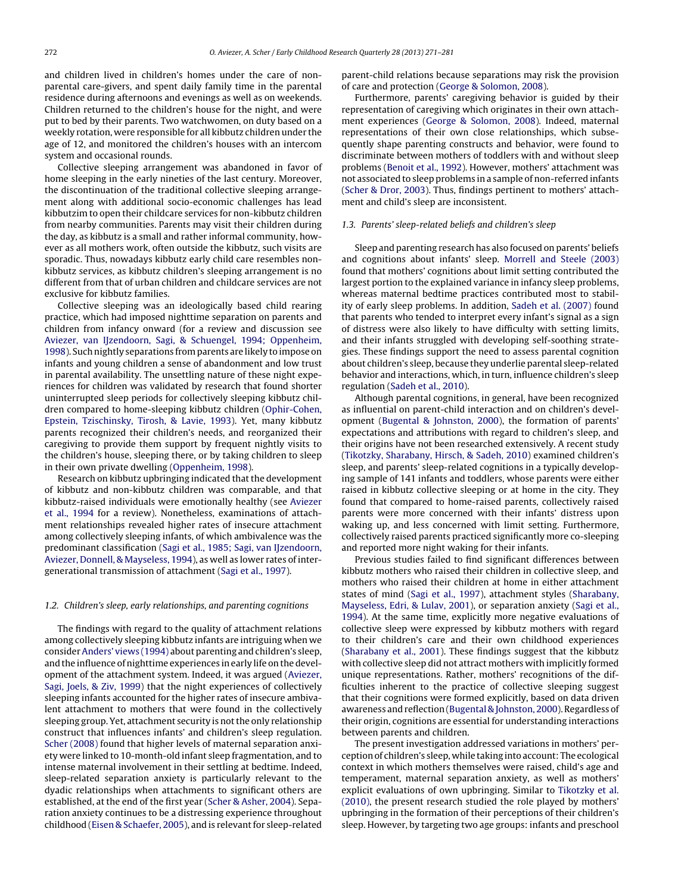and children lived in children's homes under the care of nonparental care-givers, and spent daily family time in the parental residence during afternoons and evenings as well as on weekends. Children returned to the children's house for the night, and were put to bed by their parents. Two watchwomen, on duty based on a weekly rotation, were responsible for all kibbutz children under the age of 12, and monitored the children's houses with an intercom system and occasional rounds.

Collective sleeping arrangement was abandoned in favor of home sleeping in the early nineties of the last century. Moreover, the discontinuation of the traditional collective sleeping arrangement along with additional socio-economic challenges has lead kibbutzim to open their childcare services for non-kibbutz children from nearby communities. Parents may visit their children during the day, as kibbutz is a small and rather informal community, however as all mothers work, often outside the kibbutz, such visits are sporadic. Thus, nowadays kibbutz early child care resembles nonkibbutz services, as kibbutz children's sleeping arrangement is no different from that of urban children and childcare services are not exclusive for kibbutz families.

Collective sleeping was an ideologically based child rearing practice, which had imposed nighttime separation on parents and children from infancy onward (for a review and discussion see [Aviezer,](#page-9-0) [van](#page-9-0) [IJzendoorn,](#page-9-0) [Sagi,](#page-9-0) [&](#page-9-0) [Schuengel,](#page-9-0) [1994;](#page-9-0) [Oppenheim,](#page-9-0) [1998\).](#page-9-0) Such nightly separations from parents are likely to impose on infants and young children a sense of abandonment and low trust in parental availability. The unsettling nature of these night experiences for children was validated by research that found shorter uninterrupted sleep periods for collectively sleeping kibbutz children compared to home-sleeping kibbutz children [\(Ophir-Cohen,](#page-9-0) [Epstein,](#page-9-0) [Tzischinsky,](#page-9-0) [Tirosh,](#page-9-0) [&](#page-9-0) [Lavie,](#page-9-0) [1993\).](#page-9-0) Yet, many kibbutz parents recognized their children's needs, and reorganized their caregiving to provide them support by frequent nightly visits to the children's house, sleeping there, or by taking children to sleep in their own private dwelling ([Oppenheim,](#page-9-0) [1998\).](#page-9-0)

Research on kibbutz upbringing indicated that the development of kibbutz and non-kibbutz children was comparable, and that kibbutz-raised individuals were emotionally healthy (see [Aviezer](#page-9-0) et [al.,](#page-9-0) [1994](#page-9-0) for a review). Nonetheless, examinations of attachment relationships revealed higher rates of insecure attachment among collectively sleeping infants, of which ambivalence was the predominant classification ([Sagi](#page-10-0) et [al.,](#page-10-0) [1985;](#page-10-0) [Sagi,](#page-10-0) [van](#page-10-0) [IJzendoorn,](#page-10-0) [Aviezer,](#page-10-0) [Donnell,](#page-10-0) [&](#page-10-0) [Mayseless,](#page-10-0) [1994\),](#page-10-0) as well as lower rates of intergenerational transmission of attachment ([Sagi](#page-10-0) et [al.,](#page-10-0) [1997\).](#page-10-0)

#### 1.2. Children's sleep, early relationships, and parenting cognitions

The findings with regard to the quality of attachment relations among collectively sleeping kibbutz infants are intriguing when we consider[Anders'](#page-9-0) [views](#page-9-0) [\(1994\)](#page-9-0) about parenting and children's sleep, and the influence of nighttime experiences in early life on the development of the attachment system. Indeed, it was argued ([Aviezer,](#page-9-0) [Sagi,](#page-9-0) [Joels,](#page-9-0) [&](#page-9-0) [Ziv,](#page-9-0) [1999\)](#page-9-0) that the night experiences of collectively sleeping infants accounted for the higher rates of insecure ambivalent attachment to mothers that were found in the collectively sleeping group. Yet, attachment security is not the only relationship construct that influences infants' and children's sleep regulation. [Scher](#page-10-0) [\(2008\)](#page-10-0) found that higher levels of maternal separation anxiety were linked to 10-month-old infant sleep fragmentation, and to intense maternal involvement in their settling at bedtime. Indeed, sleep-related separation anxiety is particularly relevant to the dyadic relationships when attachments to significant others are established, at the end of the first year [\(Scher](#page-10-0) [&](#page-10-0) [Asher,](#page-10-0) [2004\).](#page-10-0) Separation anxiety continues to be a distressing experience throughout childhood ([Eisen](#page-9-0) [&](#page-9-0) [Schaefer,](#page-9-0) [2005\),](#page-9-0) and is relevant for sleep-related

parent-child relations because separations may risk the provision of care and protection [\(George](#page-9-0) [&](#page-9-0) [Solomon,](#page-9-0) [2008\).](#page-9-0)

Furthermore, parents' caregiving behavior is guided by their representation of caregiving which originates in their own attachment experiences [\(George](#page-9-0) [&](#page-9-0) [Solomon,](#page-9-0) [2008\).](#page-9-0) Indeed, maternal representations of their own close relationships, which subsequently shape parenting constructs and behavior, were found to discriminate between mothers of toddlers with and without sleep problems ([Benoit](#page-9-0) et [al.,](#page-9-0) [1992\).](#page-9-0) However, mothers' attachment was not associated to sleep problems in a sample of non-referred infants [\(Scher](#page-10-0) [&](#page-10-0) [Dror,](#page-10-0) [2003\).](#page-10-0) Thus, findings pertinent to mothers' attachment and child's sleep are inconsistent.

#### 1.3. Parents' sleep-related beliefs and children's sleep

Sleep and parenting research has also focused on parents' beliefs and cognitions about infants' sleep. [Morrell](#page-9-0) [and](#page-9-0) [Steele](#page-9-0) [\(2003\)](#page-9-0) found that mothers' cognitions about limit setting contributed the largest portion to the explained variance in infancy sleep problems, whereas maternal bedtime practices contributed most to stability of early sleep problems. In addition, [Sadeh](#page-9-0) et [al.](#page-9-0) [\(2007\)](#page-9-0) found that parents who tended to interpret every infant's signal as a sign of distress were also likely to have difficulty with setting limits, and their infants struggled with developing self-soothing strategies. These findings support the need to assess parental cognition about children's sleep, because they underlie parental sleep-related behavior and interactions, which, in turn, influence children's sleep regulation ([Sadeh](#page-10-0) et [al.,](#page-10-0) [2010\).](#page-10-0)

Although parental cognitions, in general, have been recognized as influential on parent-child interaction and on children's development [\(Bugental](#page-9-0) [&](#page-9-0) [Johnston,](#page-9-0) [2000\),](#page-9-0) the formation of parents' expectations and attributions with regard to children's sleep, and their origins have not been researched extensively. A recent study [\(Tikotzky,](#page-10-0) [Sharabany,](#page-10-0) [Hirsch,](#page-10-0) [&](#page-10-0) [Sadeh,](#page-10-0) [2010\)](#page-10-0) examined children's sleep, and parents' sleep-related cognitions in a typically developing sample of 141 infants and toddlers, whose parents were either raised in kibbutz collective sleeping or at home in the city. They found that compared to home-raised parents, collectively raised parents were more concerned with their infants' distress upon waking up, and less concerned with limit setting. Furthermore, collectively raised parents practiced significantly more co-sleeping and reported more night waking for their infants.

Previous studies failed to find significant differences between kibbutz mothers who raised their children in collective sleep, and mothers who raised their children at home in either attachment states of mind [\(Sagi](#page-10-0) et [al.,](#page-10-0) [1997\),](#page-10-0) attachment styles ([Sharabany,](#page-10-0) [Mayseless,](#page-10-0) [Edri,](#page-10-0) [&](#page-10-0) [Lulav,](#page-10-0) [2001\),](#page-10-0) or separation anxiety ([Sagi](#page-10-0) et [al.,](#page-10-0) [1994\).](#page-10-0) At the same time, explicitly more negative evaluations of collective sleep were expressed by kibbutz mothers with regard to their children's care and their own childhood experiences [\(Sharabany](#page-10-0) et [al.,](#page-10-0) [2001\).](#page-10-0) These findings suggest that the kibbutz with collective sleep did not attract mothers with implicitly formed unique representations. Rather, mothers' recognitions of the difficulties inherent to the practice of collective sleeping suggest that their cognitions were formed explicitly, based on data driven awareness and reflection [\(Bugental](#page-9-0) [&](#page-9-0) [Johnston,](#page-9-0) [2000\).](#page-9-0) Regardless of their origin, cognitions are essential for understanding interactions between parents and children.

The present investigation addressed variations in mothers' perceptionof children's sleep, while taking into account: The ecological context in which mothers themselves were raised, child's age and temperament, maternal separation anxiety, as well as mothers' explicit evaluations of own upbringing. Similar to [Tikotzky](#page-10-0) et [al.](#page-10-0) [\(2010\),](#page-10-0) the present research studied the role played by mothers' upbringing in the formation of their perceptions of their children's sleep. However, by targeting two age groups: infants and preschool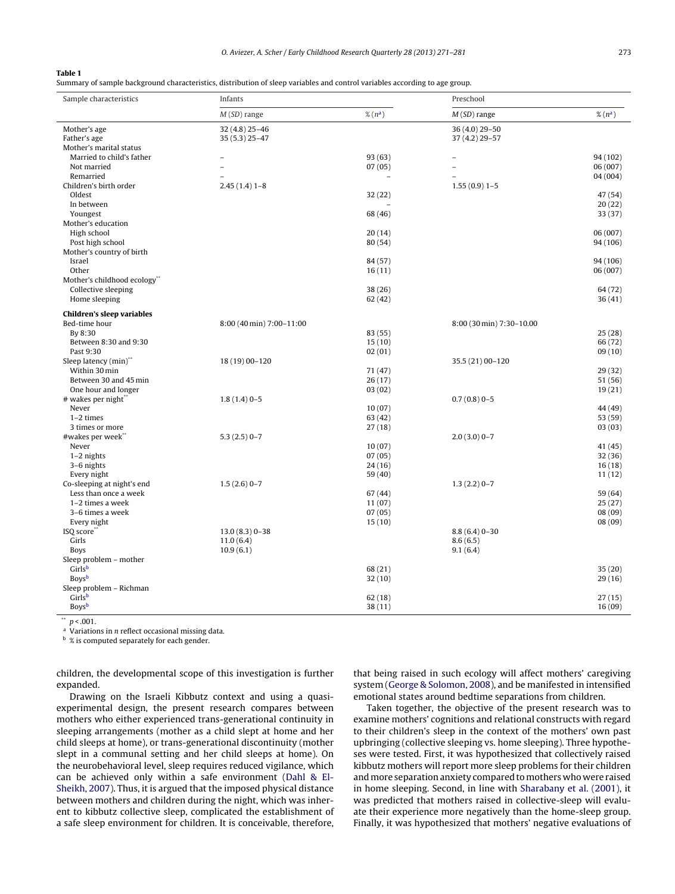<span id="page-2-0"></span>Summary of sample background characteristics, distribution of sleep variables and control variables according to age group.

| Sample characteristics              | Infants                  |              | Preschool                |              |  |
|-------------------------------------|--------------------------|--------------|--------------------------|--------------|--|
|                                     | $M(SD)$ range            | $\%$ $(n^a)$ | $M(SD)$ range            | $\%$ $(n^a)$ |  |
| Mother's age                        | 32 (4.8) 25-46           |              | 36 (4.0) 29-50           |              |  |
| Father's age                        | 35 (5.3) 25-47           |              | 37 (4.2) 29-57           |              |  |
| Mother's marital status             |                          |              |                          |              |  |
| Married to child's father           |                          | 93(63)       |                          | 94 (102)     |  |
| Not married                         |                          | 07(05)       |                          | 06 (007)     |  |
| Remarried                           |                          |              |                          | 04 (004)     |  |
| Children's birth order              | $2.45(1.4)1-8$           |              | $1.55(0.9)1 - 5$         |              |  |
| Oldest                              |                          | 32(22)       |                          | 47 (54)      |  |
| In between                          |                          |              |                          | 20(22)       |  |
| Youngest                            |                          | 68 (46)      |                          | 33(37)       |  |
| Mother's education                  |                          |              |                          |              |  |
| High school                         |                          | 20(14)       |                          | 06 (007)     |  |
| Post high school                    |                          | 80 (54)      |                          | 94 (106)     |  |
| Mother's country of birth<br>Israel |                          | 84 (57)      |                          | 94 (106)     |  |
| Other                               |                          | 16(11)       |                          | 06 (007)     |  |
| Mother's childhood ecology"         |                          |              |                          |              |  |
| Collective sleeping                 |                          | 38(26)       |                          | 64 (72)      |  |
| Home sleeping                       |                          | 62(42)       |                          | 36(41)       |  |
|                                     |                          |              |                          |              |  |
| <b>Children's sleep variables</b>   |                          |              |                          |              |  |
| Bed-time hour                       | 8:00 (40 min) 7:00-11:00 |              | 8:00 (30 min) 7:30-10.00 |              |  |
| By 8:30                             |                          | 83 (55)      |                          | 25(28)       |  |
| Between 8:30 and 9:30               |                          | 15(10)       |                          | 66 (72)      |  |
| Past 9:30                           |                          | 02(01)       |                          | 09(10)       |  |
| Sleep latency (min)"                | 18 (19) 00-120           |              | 35.5 (21) 00-120         |              |  |
| Within 30 min                       |                          | 71 (47)      |                          | 29(32)       |  |
| Between 30 and 45 min               |                          | 26(17)       |                          | 51 (56)      |  |
| One hour and longer                 |                          | 03(02)       |                          | 19(21)       |  |
| # wakes per night"                  | $1.8(1.4)0-5$            |              | $0.7(0.8)0 - 5$          |              |  |
| Never                               |                          | 10(07)       |                          | 44 (49)      |  |
| $1-2$ times<br>3 times or more      |                          | 63(42)       |                          | 53 (59)      |  |
| #wakes per week"                    |                          | 27(18)       |                          | 03(03)       |  |
| Never                               | $5.3(2.5)0-7$            | 10(07)       | $2.0(3.0)0 - 7$          | 41 (45)      |  |
| $1-2$ nights                        |                          | 07(05)       |                          | 32(36)       |  |
| 3-6 nights                          |                          | 24(16)       |                          | 16(18)       |  |
| Every night                         |                          | 59(40)       |                          | 11(12)       |  |
| Co-sleeping at night's end          | $1.5(2.6)$ 0-7           |              | $1.3(2.2)0-7$            |              |  |
| Less than once a week               |                          | 67(44)       |                          | 59 (64)      |  |
| 1-2 times a week                    |                          | 11(07)       |                          | 25(27)       |  |
| 3-6 times a week                    |                          | 07(05)       |                          | 08(09)       |  |
| Every night                         |                          | 15(10)       |                          | 08(09)       |  |
| ISO score"                          | $13.0(8.3)0 - 38$        |              | $8.8(6.4)0-30$           |              |  |
| Girls                               | 11.0(6.4)                |              | 8.6(6.5)                 |              |  |
| <b>Boys</b>                         | 10.9(6.1)                |              | 9.1(6.4)                 |              |  |
| Sleep problem - mother              |                          |              |                          |              |  |
| Girlsb                              |                          | 68 (21)      |                          | 35(20)       |  |
| Boysb                               |                          | 32(10)       |                          | 29(16)       |  |
| Sleep problem - Richman             |                          |              |                          |              |  |
| Girlsb                              |                          | 62(18)       |                          | 27(15)       |  |
| Boysb                               |                          | 38(11)       |                          | 16(09)       |  |

 $p < .001$ .

 $\alpha$  Variations in *n* reflect occasional missing data.

 $^{\rm b}$  % is computed separately for each gender.

children, the developmental scope of this investigation is further expanded.

Drawing on the Israeli Kibbutz context and using a quasiexperimental design, the present research compares between mothers who either experienced trans-generational continuity in sleeping arrangements (mother as a child slept at home and her child sleeps at home), or trans-generational discontinuity (mother slept in a communal setting and her child sleeps at home). On the neurobehavioral level, sleep requires reduced vigilance, which can be achieved only within a safe environment ([Dahl](#page-9-0) [&](#page-9-0) El-Sheikh, [2007\).](#page-9-0) Thus, it is argued that the imposed physical distance between mothers and children during the night, which was inherent to kibbutz collective sleep, complicated the establishment of a safe sleep environment for children. It is conceivable, therefore, that being raised in such ecology will affect mothers' caregiving system ([George](#page-9-0) [&](#page-9-0) [Solomon,](#page-9-0) [2008\),](#page-9-0) and be manifested in intensified emotional states around bedtime separations from children.

Taken together, the objective of the present research was to examine mothers' cognitions and relational constructs with regard to their children's sleep in the context of the mothers' own past upbringing (collective sleeping vs. home sleeping). Three hypotheses were tested. First, it was hypothesized that collectively raised kibbutz mothers will report more sleep problems for their children [and](#page-9-0) more separation anxiety compared to mothers who were raised in home sleeping. Second, in line with [Sharabany](#page-10-0) et [al.](#page-10-0) [\(2001\),](#page-10-0) it was predicted that mothers raised in collective-sleep will evaluate their experience more negatively than the home-sleep group. Finally, it was hypothesized that mothers' negative evaluations of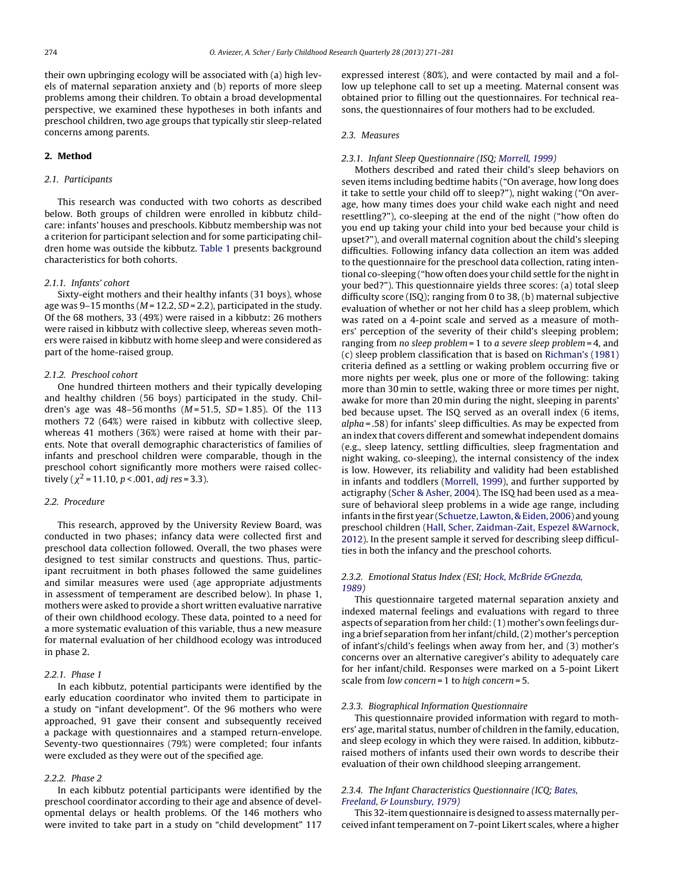their own upbringing ecology will be associated with (a) high levels of maternal separation anxiety and (b) reports of more sleep problems among their children. To obtain a broad developmental perspective, we examined these hypotheses in both infants and preschool children, two age groups that typically stir sleep-related concerns among parents.

### **2. Method**

## 2.1. Participants

This research was conducted with two cohorts as described below. Both groups of children were enrolled in kibbutz childcare: infants' houses and preschools. Kibbutz membership was not a criterion for participant selection and for some participating children home was outside the kibbutz. [Table](#page-2-0) 1 presents background characteristics for both cohorts.

## 2.1.1. Infants' cohort

Sixty-eight mothers and their healthy infants (31 boys), whose age was 9-15 months ( $M = 12.2$ ,  $SD = 2.2$ ), participated in the study. Of the 68 mothers, 33 (49%) were raised in a kibbutz: 26 mothers were raised in kibbutz with collective sleep, whereas seven mothers were raised in kibbutz with home sleep and were considered as part of the home-raised group.

## 2.1.2. Preschool cohort

One hundred thirteen mothers and their typically developing and healthy children (56 boys) participated in the study. Children's age was  $48-56$  months ( $M = 51.5$ ,  $SD = 1.85$ ). Of the 113 mothers 72 (64%) were raised in kibbutz with collective sleep, whereas 41 mothers (36%) were raised at home with their parents. Note that overall demographic characteristics of families of infants and preschool children were comparable, though in the preschool cohort significantly more mothers were raised collectively ( $\chi^2$  = 11.10, p < .001, adj res = 3.3).

#### 2.2. Procedure

This research, approved by the University Review Board, was conducted in two phases; infancy data were collected first and preschool data collection followed. Overall, the two phases were designed to test similar constructs and questions. Thus, participant recruitment in both phases followed the same guidelines and similar measures were used (age appropriate adjustments in assessment of temperament are described below). In phase 1, mothers were asked to provide a short written evaluative narrative of their own childhood ecology. These data, pointed to a need for a more systematic evaluation of this variable, thus a new measure for maternal evaluation of her childhood ecology was introduced in phase 2.

#### 2.2.1. Phase 1

In each kibbutz, potential participants were identified by the early education coordinator who invited them to participate in a study on "infant development". Of the 96 mothers who were approached, 91 gave their consent and subsequently received a package with questionnaires and a stamped return-envelope. Seventy-two questionnaires (79%) were completed; four infants were excluded as they were out of the specified age.

### 2.2.2. Phase 2

In each kibbutz potential participants were identified by the preschool coordinator according to their age and absence of developmental delays or health problems. Of the 146 mothers who were invited to take part in a study on "child development" 117 expressed interest (80%), and were contacted by mail and a follow up telephone call to set up a meeting. Maternal consent was obtained prior to filling out the questionnaires. For technical reasons, the questionnaires of four mothers had to be excluded.

#### 2.3. Measures

#### 2.3.1. Infant Sleep Questionnaire (ISQ; [Morrell,](#page-9-0) [1999\)](#page-9-0)

Mothers described and rated their child's sleep behaviors on seven items including bedtime habits ("On average, how long does it take to settle your child off to sleep?"), night waking ("On average, how many times does your child wake each night and need resettling?"), co-sleeping at the end of the night ("how often do you end up taking your child into your bed because your child is upset?"), and overall maternal cognition about the child's sleeping difficulties. Following infancy data collection an item was added to the questionnaire for the preschool data collection, rating intentional co-sleeping ("how often does your child settle for the night in your bed?"). This questionnaire yields three scores: (a) total sleep difficulty score (ISQ); ranging from 0 to 38, (b) maternal subjective evaluation of whether or not her child has a sleep problem, which was rated on a 4-point scale and served as a measure of mothers' perception of the severity of their child's sleeping problem; ranging from no sleep problem = 1 to a severe sleep problem = 4, and (c) sleep problem classification that is based on [Richman's](#page-9-0) [\(1981\)](#page-9-0) criteria defined as a settling or waking problem occurring five or more nights per week, plus one or more of the following: taking more than 30 min to settle, waking three or more times per night, awake for more than 20 min during the night, sleeping in parents' bed because upset. The ISQ served as an overall index (6 items, alpha = .58) for infants' sleep difficulties. As may be expected from an index that covers different and somewhat independent domains (e.g., sleep latency, settling difficulties, sleep fragmentation and night waking, co-sleeping), the internal consistency of the index is low. However, its reliability and validity had been established in infants and toddlers [\(Morrell,](#page-9-0) [1999\),](#page-9-0) and further supported by actigraphy ([Scher](#page-10-0) [&](#page-10-0) [Asher,](#page-10-0) [2004\).](#page-10-0) The ISQ had been used as a measure of behavioral sleep problems in a wide age range, including infants in the first year [\(Schuetze,](#page-10-0) [Lawton,](#page-10-0) [&](#page-10-0) [Eiden,](#page-10-0) [2006\)](#page-10-0) and young preschool children [\(Hall,](#page-9-0) [Scher,](#page-9-0) [Zaidman-Zait,](#page-9-0) [Espezel](#page-9-0) [&Warnock,](#page-9-0) [2012\).](#page-9-0) In the present sample it served for describing sleep difficulties in both the infancy and the preschool cohorts.

## 2.3.2. Emotional Status Index (ESI; [Hock,](#page-9-0) [McBride](#page-9-0) [&Gnezda,](#page-9-0) [1989\)](#page-9-0)

This questionnaire targeted maternal separation anxiety and indexed maternal feelings and evaluations with regard to three aspects of separation from her child:(1) mother's own feelings during a brief separation from her infant/child,(2) mother's perception of infant's/child's feelings when away from her, and (3) mother's concerns over an alternative caregiver's ability to adequately care for her infant/child. Responses were marked on a 5-point Likert scale from low concern = 1 to high concern = 5.

#### 2.3.3. Biographical Information Questionnaire

This questionnaire provided information with regard to mothers' age, marital status, number of children in the family, education, and sleep ecology in which they were raised. In addition, kibbutzraised mothers of infants used their own words to describe their evaluation of their own childhood sleeping arrangement.

## 2.3.4. The Infant Characteristics Questionnaire (ICQ; [Bates,](#page-9-0) [Freeland,](#page-9-0) [&](#page-9-0) [Lounsbury,](#page-9-0) [1979\)](#page-9-0)

This 32-item questionnaire is designed to assess maternally perceived infant temperament on 7-point Likert scales, where a higher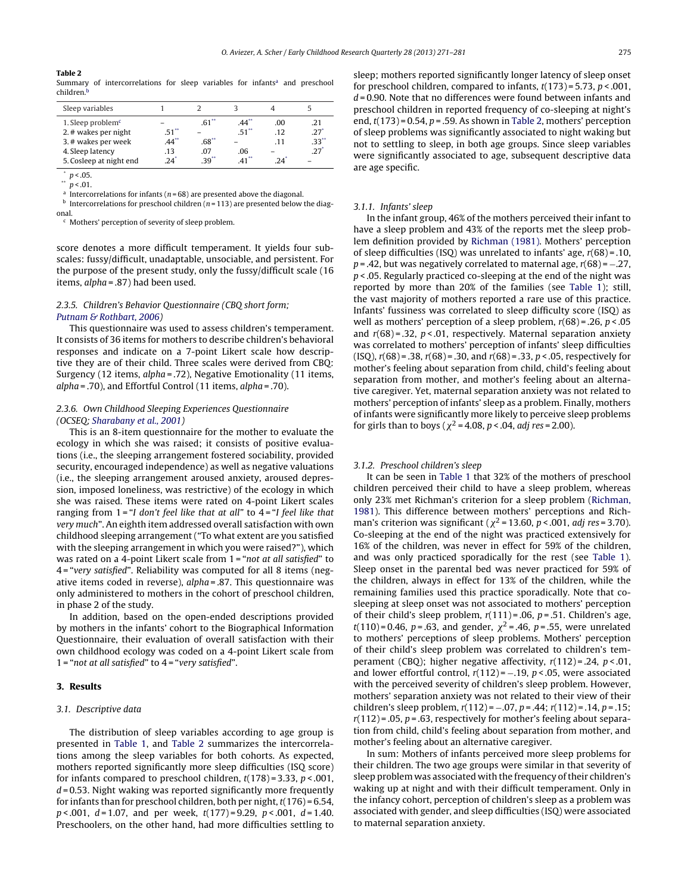Summary of intercorrelations for sleep variables for infants<sup>a</sup> and preschool children.<sup>1</sup>

| Sleep variables                              |                     |                     |                     |            |            |
|----------------------------------------------|---------------------|---------------------|---------------------|------------|------------|
| 1. Sleep problem $c$<br>2. # wakes per night | $.51$ <sup>**</sup> | $.61$ <sup>**</sup> | $.44**$<br>$.51$ ** | .00<br>.12 | .21<br>.27 |
| 3. # wakes per week                          | $.44***$            | $.68**$             |                     | -11        | $-33^{**}$ |
| 4. Sleep latency<br>5. Cosleep at night end  | .13<br>24'          | 07<br>$39^{**}$     | .06                 | 24         | 27'        |

 $p < 0.05$ .  $p < .01$ .

<sup>a</sup> Intercorrelations for infants ( $n = 68$ ) are presented above the diagonal.

 $<sup>b</sup>$  Intercorrelations for preschool children (n = 113) are presented below the diag-</sup>

onal.

<sup>c</sup> Mothers' perception of severity of sleep problem.

score denotes a more difficult temperament. It yields four subscales: fussy/difficult, unadaptable, unsociable, and persistent. For the purpose of the present study, only the fussy/difficult scale (16 items,  $alpha = .87$ ) had been used.

## 2.3.5. Children's Behavior Questionnaire (CBQ short form; [Putnam](#page-9-0) [&](#page-9-0) [Rothbart,](#page-9-0) [2006\)](#page-9-0)

This questionnaire was used to assess children's temperament. It consists of 36 items for mothers to describe children's behavioral responses and indicate on a 7-point Likert scale how descriptive they are of their child. Three scales were derived from CBQ: Surgency (12 items, alpha = .72), Negative Emotionality (11 items, alpha = .70), and Effortful Control (11 items, alpha = .70).

## 2.3.6. Own Childhood Sleeping Experiences Questionnaire (OCSEQ; [Sharabany](#page-10-0) et [al.,](#page-10-0) [2001\)](#page-10-0)

This is an 8-item questionnaire for the mother to evaluate the ecology in which she was raised; it consists of positive evaluations (i.e., the sleeping arrangement fostered sociability, provided security, encouraged independence) as well as negative valuations (i.e., the sleeping arrangement aroused anxiety, aroused depression, imposed loneliness, was restrictive) of the ecology in which she was raised. These items were rated on 4-point Likert scales ranging from  $1$  = "I don't feel like that at all" to  $4$  = "I feel like that very much". An eighth item addressed overall satisfaction with own childhood sleeping arrangement ("To what extent are you satisfied with the sleeping arrangement in which you were raised?"), which was rated on a 4-point Likert scale from 1 = "not at all satisfied" to 4 = "very satisfied". Reliability was computed for all 8 items (negative items coded in reverse), alpha = .87. This questionnaire was only administered to mothers in the cohort of preschool children, in phase 2 of the study.

In addition, based on the open-ended descriptions provided by mothers in the infants' cohort to the Biographical Information Questionnaire, their evaluation of overall satisfaction with their own childhood ecology was coded on a 4-point Likert scale from  $1$  = "not at all satisfied" to  $4$  = "very satisfied".

#### **3. Results**

#### 3.1. Descriptive data

The distribution of sleep variables according to age group is presented in [Table](#page-2-0) 1, and Table 2 summarizes the intercorrelations among the sleep variables for both cohorts. As expected, mothers reported significantly more sleep difficulties (ISQ score) for infants compared to preschool children,  $t(178)$  = 3.33,  $p$  < .001,  $d = 0.53$ . Night waking was reported significantly more frequently for infants than for preschool children, both per night,  $t(176) = 6.54$ ,  $p < .001$ ,  $d = 1.07$ , and per week,  $t(177) = 9.29$ ,  $p < .001$ ,  $d = 1.40$ . Preschoolers, on the other hand, had more difficulties settling to

sleep; mothers reported significantly longer latency of sleep onset for preschool children, compared to infants,  $t(173) = 5.73$ ,  $p < .001$ ,  $d = 0.90$ . Note that no differences were found between infants and preschool children in reported frequency of co-sleeping at night's end,  $t(173) = 0.54$ ,  $p = .59$ . As shown in Table 2, mothers' perception of sleep problems was significantly associated to night waking but not to settling to sleep, in both age groups. Since sleep variables were significantly associated to age, subsequent descriptive data are age specific.

### 3.1.1. Infants' sleep

In the infant group, 46% of the mothers perceived their infant to have a sleep problem and 43% of the reports met the sleep problem definition provided by [Richman](#page-9-0) [\(1981\).](#page-9-0) Mothers' perception of sleep difficulties (ISQ) was unrelated to infants' age,  $r(68) = .10$ ,  $p = 0.42$ , but was negatively correlated to maternal age,  $r(68) = -.27$ ,  $p$  < .05. Regularly practiced co-sleeping at the end of the night was reported by more than 20% of the families (see [Table](#page-2-0) 1); still, the vast majority of mothers reported a rare use of this practice. Infants' fussiness was correlated to sleep difficulty score (ISQ) as well as mothers' perception of a sleep problem,  $r(68) = .26$ ,  $p < .05$ and  $r(68)$  = .32,  $p < .01$ , respectively. Maternal separation anxiety was correlated to mothers' perception of infants' sleep difficulties (ISQ),  $r(68) = .38$ ,  $r(68) = .30$ , and  $r(68) = .33$ ,  $p < .05$ , respectively for mother's feeling about separation from child, child's feeling about separation from mother, and mother's feeling about an alternative caregiver. Yet, maternal separation anxiety was not related to mothers' perception of infants' sleep as a problem. Finally, mothers of infants were significantly more likely to perceive sleep problems for girls than to boys ( $\chi^2$  = 4.08, p < .04, *adj res* = 2.00).

### 3.1.2. Preschool children's sleep

It can be seen in [Table](#page-2-0) 1 that 32% of the mothers of preschool children perceived their child to have a sleep problem, whereas only 23% met Richman's criterion for a sleep problem [\(Richman,](#page-9-0) [1981\).](#page-9-0) This difference between mothers' perceptions and Richman's criterion was significant ( $\chi^2$  = 13.60, p < .001, adj res = 3.70). Co-sleeping at the end of the night was practiced extensively for 16% of the children, was never in effect for 59% of the children, and was only practiced sporadically for the rest (see [Table](#page-2-0) 1). Sleep onset in the parental bed was never practiced for 59% of the children, always in effect for 13% of the children, while the remaining families used this practice sporadically. Note that cosleeping at sleep onset was not associated to mothers' perception of their child's sleep problem,  $r(111) = .06$ ,  $p = .51$ . Children's age,  $t(110) = 0.46$ ,  $p = .63$ , and gender,  $\chi^2 = .46$ ,  $p = .55$ , were unrelated to mothers' perceptions of sleep problems. Mothers' perception of their child's sleep problem was correlated to children's temperament (CBQ); higher negative affectivity,  $r(112) = .24$ ,  $p < .01$ , and lower effortful control,  $r(112) = -.19$ ,  $p < .05$ , were associated with the perceived severity of children's sleep problem. However, mothers' separation anxiety was not related to their view of their children's sleep problem,  $r(112) = -.07$ ,  $p = .44$ ;  $r(112) = .14$ ,  $p = .15$ ;  $r(112)$  = .05, p = .63, respectively for mother's feeling about separation from child, child's feeling about separation from mother, and mother's feeling about an alternative caregiver.

In sum: Mothers of infants perceived more sleep problems for their children. The two age groups were similar in that severity of sleep problem was associated with the frequency of their children's waking up at night and with their difficult temperament. Only in the infancy cohort, perception of children's sleep as a problem was associated with gender, and sleep difficulties (ISQ) were associated to maternal separation anxiety.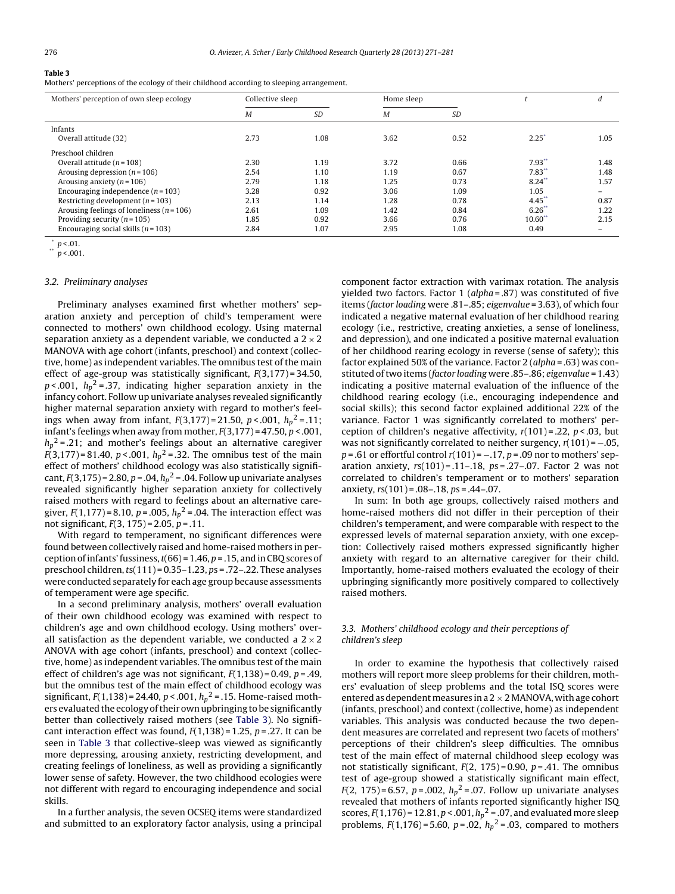Mothers' perceptions of the ecology of their childhood according to sleeping arrangement.

| Mothers' perception of own sleep ecology      | Collective sleep |           | Home sleep |           |                  | d    |
|-----------------------------------------------|------------------|-----------|------------|-----------|------------------|------|
|                                               | M                | <b>SD</b> | M          | <b>SD</b> |                  |      |
| Infants                                       |                  |           |            |           |                  |      |
| Overall attitude (32)                         | 2.73             | 1.08      | 3.62       | 0.52      | $2.25^{\degree}$ | 1.05 |
| Preschool children                            |                  |           |            |           |                  |      |
| Overall attitude ( $n = 108$ )                | 2.30             | 1.19      | 3.72       | 0.66      | $7.93$ **        | 1.48 |
| Arousing depression ( $n = 106$ )             | 2.54             | 1.10      | 1.19       | 0.67      | $7.83$ **        | 1.48 |
| Arousing anxiety ( $n = 106$ )                | 2.79             | 1.18      | 1.25       | 0.73      | $8.24$ **        | 1.57 |
| Encouraging independence $(n = 103)$          | 3.28             | 0.92      | 3.06       | 1.09      | 1.05             | $-$  |
| Restricting development ( $n = 103$ )         | 2.13             | 1.14      | 1.28       | 0.78      | $4.45$ **        | 0.87 |
| Arousing feelings of loneliness ( $n = 106$ ) | 2.61             | 1.09      | 1.42       | 0.84      | $6.26$ **        | 1.22 |
| Providing security ( $n = 105$ )              | 1.85             | 0.92      | 3.66       | 0.76      | $10.60$ **       | 2.15 |
| Encouraging social skills ( $n = 103$ )       | 2.84             | 1.07      | 2.95       | 1.08      | 0.49             | $-$  |

 $p < .01$ .

 $p < .001$ 

## 3.2. Preliminary analyses

Preliminary analyses examined first whether mothers' separation anxiety and perception of child's temperament were connected to mothers' own childhood ecology. Using maternal separation anxiety as a dependent variable, we conducted a  $2 \times 2$ MANOVA with age cohort (infants, preschool) and context (collective, home) as independent variables. The omnibus test of the main effect of age-group was statistically significant,  $F(3,177) = 34.50$ , p<.001,  $h_p^2$ =.37, indicating higher separation anxiety in the infancy cohort. Follow up univariate analyses revealed significantly higher maternal separation anxiety with regard to mother's feelings when away from infant,  $F(3,177)$ =21.50,  $p < .001$ ,  $h_p^2$ =.11; infant's feelings when away from mother,  $F(3,177) = 47.50, p < .001,$  $h_p{}^2$ =.21; and mother's feelings about an alternative caregiver F(3,177)=81.40, p<.001,  $h_p^2$ =.32. The omnibus test of the main effect of mothers' childhood ecology was also statistically significant,  $F(3,175)$  = 2.80, p = .04,  $h_p^2$  = .04. Follow up univariate analyses revealed significantly higher separation anxiety for collectively raised mothers with regard to feelings about an alternative caregiver,  $F(1,177)$ = 8.10, p = .005,  $h_p^2$  = .04. The interaction effect was not significant,  $F(3, 175) = 2.05$ ,  $p = .11$ .

With regard to temperament, no significant differences were found between collectively raised and home-raised mothers in perception of infants' fussiness,  $t(66) = 1.46$ ,  $p = .15$ , and in CBQ scores of preschool children,  $ts(111) = 0.35 - 1.23$ ,  $ps = .72 - .22$ . These analyses were conducted separately for each age group because assessments of temperament were age specific.

In a second preliminary analysis, mothers' overall evaluation of their own childhood ecology was examined with respect to children's age and own childhood ecology. Using mothers' overall satisfaction as the dependent variable, we conducted a  $2 \times 2$ ANOVA with age cohort (infants, preschool) and context (collective, home) as independent variables. The omnibus test of the main effect of children's age was not significant,  $F(1,138) = 0.49$ ,  $p = .49$ , but the omnibus test of the main effect of childhood ecology was significant,  $F(1,138)$  = 24.40,  $p < .001$ ,  $h_p^2$  = .15. Home-raised mothers evaluated the ecology of their own upbringing to be significantly better than collectively raised mothers (see Table 3). No significant interaction effect was found,  $F(1,138) = 1.25$ ,  $p = 0.27$ . It can be seen in Table 3 that collective-sleep was viewed as significantly more depressing, arousing anxiety, restricting development, and creating feelings of loneliness, as well as providing a significantly lower sense of safety. However, the two childhood ecologies were not different with regard to encouraging independence and social skills.

In a further analysis, the seven OCSEQ items were standardized and submitted to an exploratory factor analysis, using a principal component factor extraction with varimax rotation. The analysis yielded two factors. Factor 1 ( $alpha = .87$ ) was constituted of five items (factor loading were .81–.85; eigenvalue = 3.63), of which four indicated a negative maternal evaluation of her childhood rearing ecology (i.e., restrictive, creating anxieties, a sense of loneliness, and depression), and one indicated a positive maternal evaluation of her childhood rearing ecology in reverse (sense of safety); this factor explained 50% of the variance. Factor  $2$  (alpha = .63) was constituted oftwo items (factor loading were .85–.86; eigenvalue = 1.43) indicating a positive maternal evaluation of the influence of the childhood rearing ecology (i.e., encouraging independence and social skills); this second factor explained additional 22% of the variance. Factor 1 was significantly correlated to mothers' perception of children's negative affectivity,  $r(101) = 0.22$ ,  $p < 0.03$ , but was not significantly correlated to neither surgency,  $r(101) = -.05$ ,  $p = .61$  or effortful control  $r(101) = -.17$ ,  $p = .09$  nor to mothers' separation anxiety,  $rs(101) = .11-.18$ ,  $ps = .27-.07$ . Factor 2 was not correlated to children's temperament or to mothers' separation anxiety,  $rs(101) = .08 - .18$ ,  $ps = .44 - .07$ .

In sum: In both age groups, collectively raised mothers and home-raised mothers did not differ in their perception of their children's temperament, and were comparable with respect to the expressed levels of maternal separation anxiety, with one exception: Collectively raised mothers expressed significantly higher anxiety with regard to an alternative caregiver for their child. Importantly, home-raised mothers evaluated the ecology of their upbringing significantly more positively compared to collectively raised mothers.

## 3.3. Mothers' childhood ecology and their perceptions of children's sleep

In order to examine the hypothesis that collectively raised mothers will report more sleep problems for their children, mothers' evaluation of sleep problems and the total ISQ scores were entered as dependent measures in a  $2 \times 2$  MANOVA, with age cohort (infants, preschool) and context (collective, home) as independent variables. This analysis was conducted because the two dependent measures are correlated and represent two facets of mothers' perceptions of their children's sleep difficulties. The omnibus test of the main effect of maternal childhood sleep ecology was not statistically significant,  $F(2, 175) = 0.90$ ,  $p = .41$ . The omnibus test of age-group showed a statistically significant main effect,  $F(2, 175) = 6.57$ ,  $p = .002$ ,  $h_p^2 = .07$ . Follow up univariate analyses revealed that mothers of infants reported significantly higher ISQ scores,  $F(1,176)$  = 12.81,  $p < .001$ ,  $h_p^2$  = .07, and evaluated more sleep problems,  $F(1,176) = 5.60$ ,  $p = .02$ ,  $h_p^2 = .03$ , compared to mothers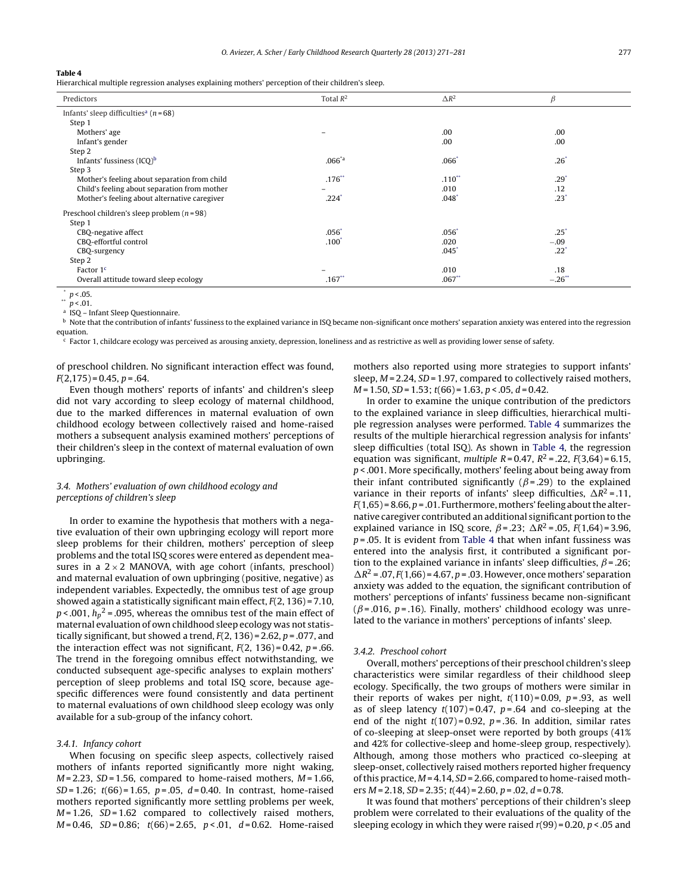<span id="page-6-0"></span>Hierarchical multiple regression analyses explaining mothers' perception of their children's sleep.

| Predictors                                            | Total $R^2$       | $\Delta R^2$        | $\beta$         |
|-------------------------------------------------------|-------------------|---------------------|-----------------|
| Infants' sleep difficulties <sup>a</sup> ( $n = 68$ ) |                   |                     |                 |
| Step 1                                                |                   |                     |                 |
| Mothers' age                                          |                   | .00                 | .00             |
| Infant's gender                                       |                   | .00                 | .00             |
| Step 2                                                |                   |                     |                 |
| Infants' fussiness $(ICQ)^b$                          | $.066^{*}$ a      | $.066*$             | $.26^*$         |
| Step 3                                                |                   |                     |                 |
| Mother's feeling about separation from child          | $.176**$          | $.110**$            | $.29^{\degree}$ |
| Child's feeling about separation from mother          |                   | .010                | .12             |
| Mother's feeling about alternative caregiver          | .224°             | $.048$ <sup>*</sup> | $.23*$          |
| Preschool children's sleep problem $(n=98)$           |                   |                     |                 |
| Step 1                                                |                   |                     |                 |
| CBQ-negative affect                                   | $.056*$           | $.056*$             | $.25*$          |
| CBQ-effortful control                                 | .100 <sup>°</sup> | .020                | $-.09$          |
| CBQ-surgency                                          |                   | $.045*$             | $.22^*$         |
| Step 2                                                |                   |                     |                 |
| Factor 1 <sup>c</sup>                                 |                   | .010                | .18             |
| Overall attitude toward sleep ecology                 | $.167$ **         | $.067**$            | $-.26$ **       |

\*  $p < .05$ .

 $p < .01$ .

<sup>a</sup> ISQ – Infant Sleep Questionnaire.

<sup>b</sup> Note that the contribution of infants' fussiness to the explained variance in ISQ became non-significant once mothers' separation anxiety was entered into the regression equation.

Factor 1, childcare ecology was perceived as arousing anxiety, depression, loneliness and as restrictive as well as providing lower sense of safety.

of preschool children. No significant interaction effect was found,  $F(2,175) = 0.45, p = .64.$ 

Even though mothers' reports of infants' and children's sleep did not vary according to sleep ecology of maternal childhood, due to the marked differences in maternal evaluation of own childhood ecology between collectively raised and home-raised mothers a subsequent analysis examined mothers' perceptions of their children's sleep in the context of maternal evaluation of own upbringing.

## 3.4. Mothers' evaluation of own childhood ecology and perceptions of children's sleep

In order to examine the hypothesis that mothers with a negative evaluation of their own upbringing ecology will report more sleep problems for their children, mothers' perception of sleep problems and the total ISQ scores were entered as dependent measures in a  $2 \times 2$  MANOVA, with age cohort (infants, preschool) and maternal evaluation of own upbringing (positive, negative) as independent variables. Expectedly, the omnibus test of age group showed again a statistically significant main effect,  $F(2, 136) = 7.10$ , p < .001,  $h_p^2$  = .095, whereas the omnibus test of the main effect of maternal evaluation of own childhood sleep ecology was not statistically significant, but showed a trend,  $F(2, 136) = 2.62$ ,  $p = .077$ , and the interaction effect was not significant,  $F(2, 136) = 0.42$ ,  $p = .66$ . The trend in the foregoing omnibus effect notwithstanding, we conducted subsequent age-specific analyses to explain mothers' perception of sleep problems and total ISQ score, because agespecific differences were found consistently and data pertinent to maternal evaluations of own childhood sleep ecology was only available for a sub-group of the infancy cohort.

#### 3.4.1. Infancy cohort

When focusing on specific sleep aspects, collectively raised mothers of infants reported significantly more night waking,  $M = 2.23$ ,  $SD = 1.56$ , compared to home-raised mothers,  $M = 1.66$ ,  $SD = 1.26$ ;  $t(66) = 1.65$ ,  $p = .05$ ,  $d = 0.40$ . In contrast, home-raised mothers reported significantly more settling problems per week,  $M = 1.26$ ,  $SD = 1.62$  compared to collectively raised mothers,  $M = 0.46$ ,  $SD = 0.86$ ;  $t(66) = 2.65$ ,  $p < .01$ ,  $d = 0.62$ . Home-raised mothers also reported using more strategies to support infants' sleep,  $M = 2.24$ ,  $SD = 1.97$ , compared to collectively raised mothers,  $M = 1.50$ ,  $SD = 1.53$ ;  $t(66) = 1.63$ ,  $p < .05$ ,  $d = 0.42$ .

In order to examine the unique contribution of the predictors to the explained variance in sleep difficulties, hierarchical multiple regression analyses were performed. Table 4 summarizes the results of the multiple hierarchical regression analysis for infants' sleep difficulties (total ISQ). As shown in Table 4, the regression equation was significant, *multiple R* = 0.47,  $R^2$  = .22,  $F(3,64)$  = 6.15,  $p$  < .001. More specifically, mothers' feeling about being away from their infant contributed significantly ( $\beta$ =.29) to the explained variance in their reports of infants' sleep difficulties,  $\Delta R^2$  = .11,  $F(1,65)$  = 8.66, p = .01. Furthermore, mothers' feeling about the alternative caregiver contributed an additional significant portion to the explained variance in ISQ score,  $\beta$  = .23;  $\Delta R^2$  = .05,  $F(1,64)$  = 3.96,  $p = 0.05$ . It is evident from Table 4 that when infant fussiness was entered into the analysis first, it contributed a significant portion to the explained variance in infants' sleep difficulties,  $\beta$  = .26;  $\Delta R^2$  = .07,  $F(1,66)$  = 4.67,  $p$  = .03. However, once mothers' separation anxiety was added to the equation, the significant contribution of mothers' perceptions of infants' fussiness became non-significant  $(\beta = .016, p = .16)$ . Finally, mothers' childhood ecology was unrelated to the variance in mothers' perceptions of infants' sleep.

#### 3.4.2. Preschool cohort

Overall, mothers' perceptions of their preschool children's sleep characteristics were similar regardless of their childhood sleep ecology. Specifically, the two groups of mothers were similar in their reports of wakes per night,  $t(110)=0.09$ ,  $p=.93$ , as well as of sleep latency  $t(107)=0.47$ ,  $p=.64$  and co-sleeping at the end of the night  $t(107) = 0.92$ ,  $p = 0.36$ . In addition, similar rates of co-sleeping at sleep-onset were reported by both groups (41% and 42% for collective-sleep and home-sleep group, respectively). Although, among those mothers who practiced co-sleeping at sleep-onset, collectively raised mothers reported higher frequency of this practice,  $M = 4.14$ ,  $SD = 2.66$ , compared to home-raised mothers  $M = 2.18$ ,  $SD = 2.35$ ;  $t(44) = 2.60$ ,  $p = .02$ ,  $d = 0.78$ .

It was found that mothers' perceptions of their children's sleep problem were correlated to their evaluations of the quality of the sleeping ecology in which they were raised  $r(99) = 0.20$ ,  $p < 0.05$  and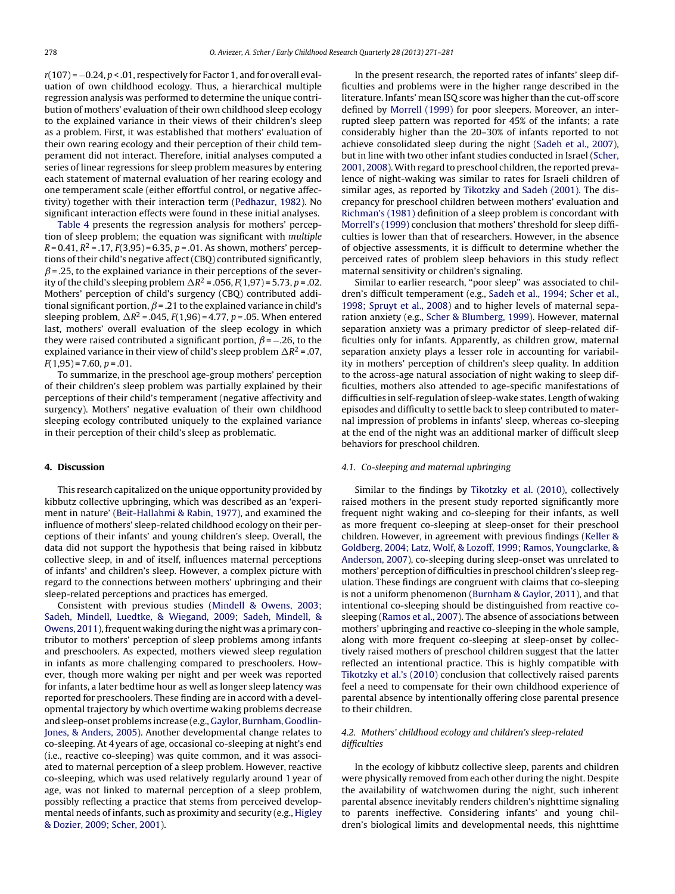$r(107) = -0.24$ ,  $p < .01$ , respectively for Factor 1, and for overall evaluation of own childhood ecology. Thus, a hierarchical multiple regression analysis was performed to determine the unique contribution of mothers' evaluation of their own childhood sleep ecology to the explained variance in their views of their children's sleep as a problem. First, it was established that mothers' evaluation of their own rearing ecology and their perception of their child temperament did not interact. Therefore, initial analyses computed a series of linear regressions for sleep problem measures by entering each statement of maternal evaluation of her rearing ecology and one temperament scale (either effortful control, or negative affectivity) together with their interaction term ([Pedhazur,](#page-9-0) [1982\).](#page-9-0) No significant interaction effects were found in these initial analyses.

[Table](#page-6-0) 4 presents the regression analysis for mothers' perception of sleep problem; the equation was significant with multiple  $R = 0.41$ ,  $R^2 = .17$ ,  $F(3.95) = 6.35$ ,  $p = .01$ . As shown, mothers' perceptions of their child's negative affect (CBQ) contributed significantly,  $\beta$  = .25, to the explained variance in their perceptions of the severity of the child's sleeping problem  $\Delta R^2$  = .056,  $F(1,97)$  = 5.73, p = .02. Mothers' perception of child's surgency (CBQ) contributed additional significant portion,  $\beta$  = .21 to the explained variance in child's sleeping problem,  $\Delta R^2$  = .045,  $F(1,96)$  = 4.77, p = .05. When entered last, mothers' overall evaluation of the sleep ecology in which they were raised contributed a significant portion,  $\beta$  = -.26, to the explained variance in their view of child's sleep problem  $\Delta R^2$  = .07,  $F(1,95) = 7.60, p = .01.$ 

To summarize, in the preschool age-group mothers' perception of their children's sleep problem was partially explained by their perceptions of their child's temperament (negative affectivity and surgency). Mothers' negative evaluation of their own childhood sleeping ecology contributed uniquely to the explained variance in their perception of their child's sleep as problematic.

## **4. Discussion**

This research capitalized on the unique opportunity provided by kibbutz collective upbringing, which was described as an 'experiment in nature' [\(Beit-Hallahmi](#page-9-0) [&](#page-9-0) [Rabin,](#page-9-0) [1977\),](#page-9-0) and examined the influence of mothers' sleep-related childhood ecology on their perceptions of their infants' and young children's sleep. Overall, the data did not support the hypothesis that being raised in kibbutz collective sleep, in and of itself, influences maternal perceptions of infants' and children's sleep. However, a complex picture with regard to the connections between mothers' upbringing and their sleep-related perceptions and practices has emerged.

Consistent with previous studies ([Mindell](#page-9-0) [&](#page-9-0) [Owens,](#page-9-0) [2003;](#page-9-0) [Sadeh,](#page-9-0) [Mindell,](#page-9-0) [Luedtke,](#page-9-0) [&](#page-9-0) [Wiegand,](#page-9-0) [2009;](#page-9-0) [Sadeh,](#page-9-0) [Mindell,](#page-9-0) [&](#page-9-0) [Owens,](#page-9-0) [2011\),](#page-9-0) frequent waking during the night was a primary contributor to mothers' perception of sleep problems among infants and preschoolers. As expected, mothers viewed sleep regulation in infants as more challenging compared to preschoolers. However, though more waking per night and per week was reported for infants, a later bedtime hour as well as longer sleep latency was reported for preschoolers. These finding are in accord with a developmental trajectory by which overtime waking problems decrease and sleep-onset problems increase (e.g., [Gaylor,](#page-9-0) [Burnham,](#page-9-0) [Goodlin-](#page-9-0)Jones, [&](#page-9-0) [Anders,](#page-9-0) [2005\).](#page-9-0) Another developmental change relates to co-sleeping. At 4 years of age, occasional co-sleeping at night's end (i.e., reactive co-sleeping) was quite common, and it was associated to maternal perception of a sleep problem. However, reactive co-sleeping, which was used relatively regularly around 1 year of age, was not linked to maternal perception of a sleep problem, possibly reflecting a practice that stems from perceived developmental needs of infants, such as proximity and security (e.g., [Higley](#page-9-0) [&](#page-9-0) [Dozier,](#page-9-0) [2009;](#page-9-0) [Scher,](#page-9-0) [2001\).](#page-9-0)

In the present research, the reported rates of infants' sleep difficulties and problems were in the higher range described in the literature. Infants' mean ISQ score was higher than the cut-off score defined by [Morrell](#page-9-0) [\(1999\)](#page-9-0) for poor sleepers. Moreover, an interrupted sleep pattern was reported for 45% of the infants; a rate considerably higher than the 20–30% of infants reported to not achieve consolidated sleep during the night [\(Sadeh](#page-9-0) et [al.,](#page-9-0) [2007\),](#page-9-0) but in line with two other infant studies conducted in Israel ([Scher,](#page-10-0) [2001,](#page-10-0) [2008\).](#page-10-0) With regard to preschool children, the reported prevalence of night-waking was similar to rates for Israeli children of similar ages, as reported by [Tikotzky](#page-10-0) [and](#page-10-0) [Sadeh](#page-10-0) [\(2001\).](#page-10-0) The discrepancy for preschool children between mothers' evaluation and [Richman's](#page-9-0) [\(1981\)](#page-9-0) definition of a sleep problem is concordant with [Morrell's](#page-9-0) [\(1999\)](#page-9-0) conclusion that mothers' threshold for sleep difficulties is lower than that of researchers. However, in the absence of objective assessments, it is difficult to determine whether the perceived rates of problem sleep behaviors in this study reflect maternal sensitivity or children's signaling.

Similar to earlier research, "poor sleep" was associated to children's difficult temperament (e.g., [Sadeh](#page-9-0) et [al.,](#page-9-0) [1994;](#page-9-0) [Scher](#page-9-0) et [al.,](#page-9-0) [1998;](#page-9-0) [Spruyt](#page-9-0) et [al.,](#page-9-0) [2008\)](#page-9-0) and to higher levels of maternal separation anxiety (e.g., [Scher](#page-10-0) [&](#page-10-0) [Blumberg,](#page-10-0) [1999\).](#page-10-0) However, maternal separation anxiety was a primary predictor of sleep-related difficulties only for infants. Apparently, as children grow, maternal separation anxiety plays a lesser role in accounting for variability in mothers' perception of children's sleep quality. In addition to the across-age natural association of night waking to sleep difficulties, mothers also attended to age-specific manifestations of difficulties in self-regulation of sleep-wake states. Length of waking episodes and difficulty to settle back to sleep contributed to maternal impression of problems in infants' sleep, whereas co-sleeping at the end of the night was an additional marker of difficult sleep behaviors for preschool children.

## 4.1. Co-sleeping and maternal upbringing

Similar to the findings by [Tikotzky](#page-10-0) et [al.](#page-10-0) [\(2010\),](#page-10-0) collectively raised mothers in the present study reported significantly more frequent night waking and co-sleeping for their infants, as well as more frequent co-sleeping at sleep-onset for their preschool children. However, in agreement with previous findings [\(Keller](#page-9-0) [&](#page-9-0) [Goldberg,](#page-9-0) [2004;](#page-9-0) [Latz,](#page-9-0) [Wolf,](#page-9-0) [&](#page-9-0) [Lozoff,](#page-9-0) [1999;](#page-9-0) [Ramos,](#page-9-0) [Youngclarke,](#page-9-0) [&](#page-9-0) [Anderson,](#page-9-0) [2007\),](#page-9-0) co-sleeping during sleep-onset was unrelated to mothers' perception of difficulties in preschool children's sleep regulation. These findings are congruent with claims that co-sleeping is not a uniform phenomenon [\(Burnham](#page-9-0) [&](#page-9-0) [Gaylor,](#page-9-0) [2011\),](#page-9-0) and that intentional co-sleeping should be distinguished from reactive cosleeping [\(Ramos](#page-9-0) et [al.,](#page-9-0) [2007\).](#page-9-0) The absence of associations between mothers' upbringing and reactive co-sleeping in the whole sample, along with more frequent co-sleeping at sleep-onset by collectively raised mothers of preschool children suggest that the latter reflected an intentional practice. This is highly compatible with [Tikotzky](#page-10-0) et [al.'s](#page-10-0) [\(2010\)](#page-10-0) conclusion that collectively raised parents feel a need to compensate for their own childhood experience of parental absence by intentionally offering close parental presence to their children.

## 4.2. Mothers' childhood ecology and children's sleep-related difficulties

In the ecology of kibbutz collective sleep, parents and children were physically removed from each other during the night. Despite the availability of watchwomen during the night, such inherent parental absence inevitably renders children's nighttime signaling to parents ineffective. Considering infants' and young children's biological limits and developmental needs, this nighttime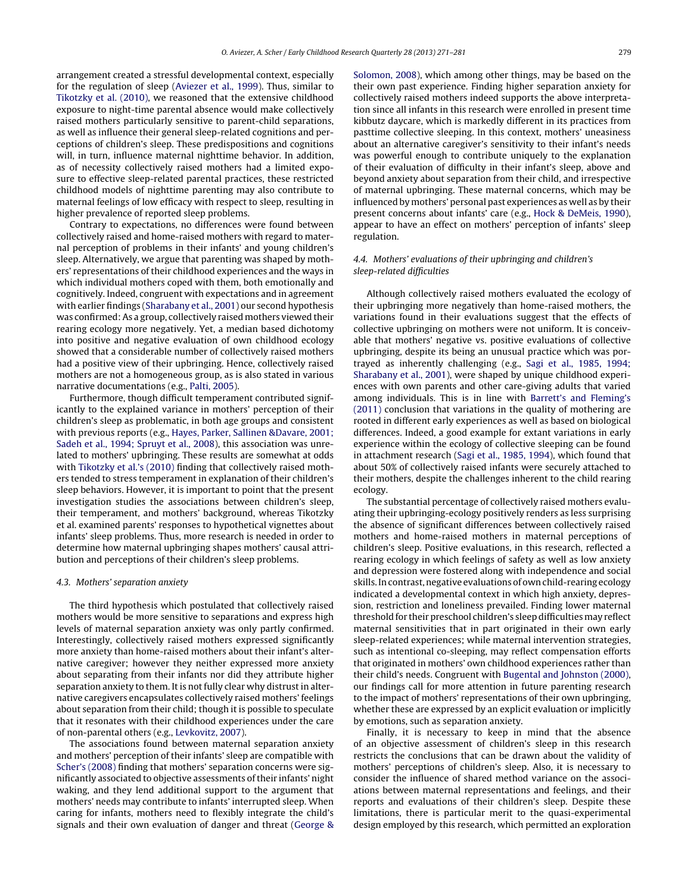arrangement created a stressful developmental context, especially for the regulation of sleep ([Aviezer](#page-9-0) et [al.,](#page-9-0) [1999\).](#page-9-0) Thus, similar to [Tikotzky](#page-10-0) et [al.](#page-10-0) [\(2010\),](#page-10-0) we reasoned that the extensive childhood exposure to night-time parental absence would make collectively raised mothers particularly sensitive to parent-child separations, as well as influence their general sleep-related cognitions and perceptions of children's sleep. These predispositions and cognitions will, in turn, influence maternal nighttime behavior. In addition, as of necessity collectively raised mothers had a limited exposure to effective sleep-related parental practices, these restricted childhood models of nighttime parenting may also contribute to maternal feelings of low efficacy with respect to sleep, resulting in higher prevalence of reported sleep problems.

Contrary to expectations, no differences were found between collectively raised and home-raised mothers with regard to maternal perception of problems in their infants' and young children's sleep. Alternatively, we argue that parenting was shaped by mothers' representations of their childhood experiences and the ways in which individual mothers coped with them, both emotionally and cognitively. Indeed, congruent with expectations and in agreement with earlier findings ([Sharabany](#page-10-0) et [al.,](#page-10-0) [2001\)](#page-10-0) our second hypothesis was confirmed:As a group, collectively raised mothers viewed their rearing ecology more negatively. Yet, a median based dichotomy into positive and negative evaluation of own childhood ecology showed that a considerable number of collectively raised mothers had a positive view of their upbringing. Hence, collectively raised mothers are not a homogeneous group, as is also stated in various narrative documentations (e.g., [Palti,](#page-9-0) [2005\).](#page-9-0)

Furthermore, though difficult temperament contributed significantly to the explained variance in mothers' perception of their children's sleep as problematic, in both age groups and consistent with previous reports (e.g., [Hayes,](#page-9-0) [Parker,](#page-9-0) [Sallinen](#page-9-0) [&Davare,](#page-9-0) [2001;](#page-9-0) [Sadeh](#page-9-0) et [al.,](#page-9-0) [1994;](#page-9-0) [Spruyt](#page-9-0) et [al.,](#page-9-0) [2008\),](#page-9-0) this association was unrelated to mothers' upbringing. These results are somewhat at odds with [Tikotzky](#page-10-0) et [al.'s](#page-10-0) [\(2010\)](#page-10-0) finding that collectively raised mothers tended to stress temperament in explanation of their children's sleep behaviors. However, it is important to point that the present investigation studies the associations between children's sleep, their temperament, and mothers' background, whereas Tikotzky et al. examined parents' responses to hypothetical vignettes about infants' sleep problems. Thus, more research is needed in order to determine how maternal upbringing shapes mothers' causal attribution and perceptions of their children's sleep problems.

#### 4.3. Mothers' separation anxiety

The third hypothesis which postulated that collectively raised mothers would be more sensitive to separations and express high levels of maternal separation anxiety was only partly confirmed. Interestingly, collectively raised mothers expressed significantly more anxiety than home-raised mothers about their infant's alternative caregiver; however they neither expressed more anxiety about separating from their infants nor did they attribute higher separation anxiety to them. It is not fully clear why distrust in alternative caregivers encapsulates collectively raised mothers' feelings about separation from their child; though it is possible to speculate that it resonates with their childhood experiences under the care of non-parental others (e.g., [Levkovitz,](#page-9-0) [2007\).](#page-9-0)

The associations found between maternal separation anxiety and mothers' perception of their infants' sleep are compatible with [Scher's](#page-10-0) [\(2008\)](#page-10-0) finding that mothers' separation concerns were significantly associated to objective assessments oftheir infants' night waking, and they lend additional support to the argument that mothers' needs may contribute to infants' interrupted sleep. When caring for infants, mothers need to flexibly integrate the child's signals and their own evaluation of danger and threat ([George](#page-9-0) [&](#page-9-0)

[Solomon,](#page-9-0) [2008\),](#page-9-0) which among other things, may be based on the their own past experience. Finding higher separation anxiety for collectively raised mothers indeed supports the above interpretation since all infants in this research were enrolled in present time kibbutz daycare, which is markedly different in its practices from pasttime collective sleeping. In this context, mothers' uneasiness about an alternative caregiver's sensitivity to their infant's needs was powerful enough to contribute uniquely to the explanation of their evaluation of difficulty in their infant's sleep, above and beyond anxiety about separation from their child, and irrespective of maternal upbringing. These maternal concerns, which may be influenced by mothers' personal past experiences as well as by their present concerns about infants' care (e.g., [Hock](#page-9-0) [&](#page-9-0) [DeMeis,](#page-9-0) [1990\),](#page-9-0) appear to have an effect on mothers' perception of infants' sleep regulation.

## 4.4. Mothers' evaluations of their upbringing and children's sleep-related difficulties

Although collectively raised mothers evaluated the ecology of their upbringing more negatively than home-raised mothers, the variations found in their evaluations suggest that the effects of collective upbringing on mothers were not uniform. It is conceivable that mothers' negative vs. positive evaluations of collective upbringing, despite its being an unusual practice which was portrayed as inherently challenging (e.g., [Sagi](#page-10-0) et [al.,](#page-10-0) [1985,](#page-10-0) [1994;](#page-10-0) [Sharabany](#page-10-0) et [al.,](#page-10-0) [2001\),](#page-10-0) were shaped by unique childhood experiences with own parents and other care-giving adults that varied among individuals. This is in line with [Barrett's](#page-9-0) [and](#page-9-0) [Fleming's](#page-9-0) [\(2011\)](#page-9-0) conclusion that variations in the quality of mothering are rooted in different early experiences as well as based on biological differences. Indeed, a good example for extant variations in early experience within the ecology of collective sleeping can be found in attachment research [\(Sagi](#page-10-0) et [al.,](#page-10-0) [1985,](#page-10-0) [1994\),](#page-10-0) which found that about 50% of collectively raised infants were securely attached to their mothers, despite the challenges inherent to the child rearing ecology.

The substantial percentage of collectively raised mothers evaluating their upbringing-ecology positively renders as less surprising the absence of significant differences between collectively raised mothers and home-raised mothers in maternal perceptions of children's sleep. Positive evaluations, in this research, reflected a rearing ecology in which feelings of safety as well as low anxiety and depression were fostered along with independence and social skills.Incontrast,negative evaluations of ownchild-rearing ecology indicated a developmental context in which high anxiety, depression, restriction and loneliness prevailed. Finding lower maternal threshold for their preschool children's sleep difficulties may reflect maternal sensitivities that in part originated in their own early sleep-related experiences; while maternal intervention strategies, such as intentional co-sleeping, may reflect compensation efforts that originated in mothers' own childhood experiences rather than their child's needs. Congruent with [Bugental](#page-9-0) [and](#page-9-0) [Johnston](#page-9-0) [\(2000\),](#page-9-0) our findings call for more attention in future parenting research to the impact of mothers' representations of their own upbringing, whether these are expressed by an explicit evaluation or implicitly by emotions, such as separation anxiety.

Finally, it is necessary to keep in mind that the absence of an objective assessment of children's sleep in this research restricts the conclusions that can be drawn about the validity of mothers' perceptions of children's sleep. Also, it is necessary to consider the influence of shared method variance on the associations between maternal representations and feelings, and their reports and evaluations of their children's sleep. Despite these limitations, there is particular merit to the quasi-experimental design employed by this research, which permitted an exploration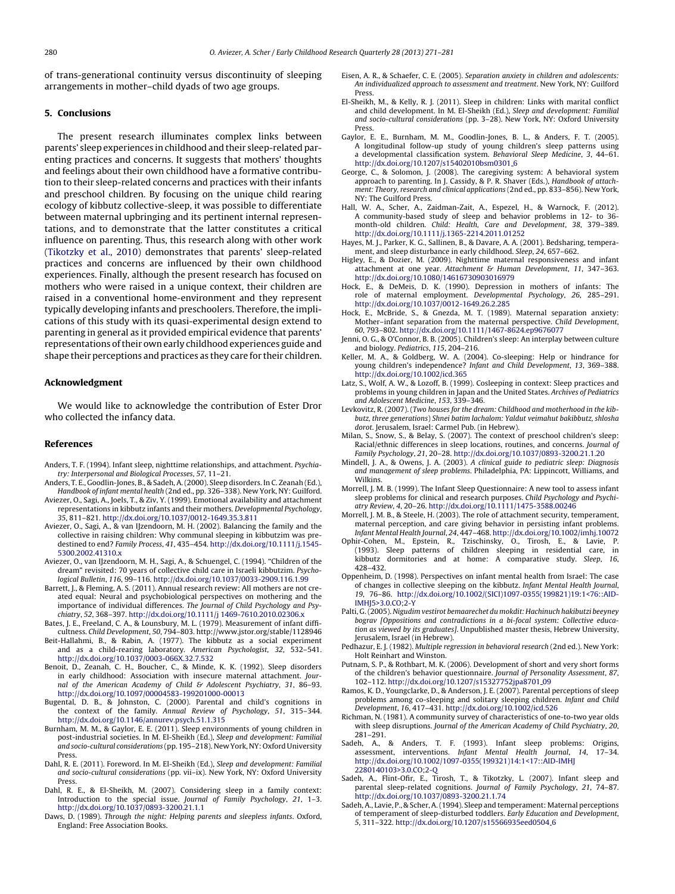<span id="page-9-0"></span>of trans-generational continuity versus discontinuity of sleeping arrangements in mother–child dyads of two age groups.

#### **5. Conclusions**

The present research illuminates complex links between parents' sleep experiences in childhood and their sleep-related parenting practices and concerns. It suggests that mothers' thoughts and feelings about their own childhood have a formative contribution to their sleep-related concerns and practices with their infants and preschool children. By focusing on the unique child rearing ecology of kibbutz collective-sleep, it was possible to differentiate between maternal upbringing and its pertinent internal representations, and to demonstrate that the latter constitutes a critical influence on parenting. Thus, this research along with other work ([Tikotzky](#page-10-0) et [al.,](#page-10-0) [2010\)](#page-10-0) demonstrates that parents' sleep-related practices and concerns are influenced by their own childhood experiences. Finally, although the present research has focused on mothers who were raised in a unique context, their children are raised in a conventional home-environment and they represent typically developing infants and preschoolers. Therefore, the implications of this study with its quasi-experimental design extend to parenting in general as it provided empirical evidence that parents' representations oftheir own early childhood experiences guide and shape their perceptions and practices as they care for their children.

## **Acknowledgment**

We would like to acknowledge the contribution of Ester Dror who collected the infancy data.

## **References**

- Anders, T. F. (1994). Infant sleep, nighttime relationships, and attachment. Psychiatry: Interpersonal and Biological Processes, 57, 11–21.
- Anders, T. E., Goodlin-Jones, B., & Sadeh, A.(2000). Sleep disorders. In C. Zeanah (Ed.), Handbook of infant mental health (2nd ed., pp. 326–338). New York, NY: Guilford.
- Aviezer, O., Sagi, A., Joels, T., & Ziv, Y. (1999). Emotional availability and attachment representations in kibbutz infants and their mothers. Developmental Psychology, 35, 811–821. [http://dx.doi.org/10.1037/0012-1649.35.3.811](dx.doi.org/10.1037/0012-1649.35.3.811)
- Aviezer, O., Sagi, A., & van IJzendoorn, M. H. (2002). Balancing the family and the collective in raising children: Why communal sleeping in kibbutzim was predestined to end? Family Process, 41, 435–454. [http://dx.doi.org/10.1111/j.1545-](dx.doi.org/10.1111/j.1545-5300.2002.41310.x) 5300.2002.41310.x
- Aviezer, O., van IJzendoorn, M. H., Sagi, A., & Schuengel, C. (1994). "Children of the dream" revisited: 70 years of collective child care in Israeli kibbutzim. Psychological Bulletin, 116, 99–116. [http://dx.doi.org/10.1037/0033-2909.116.1.99](dx.doi.org/10.1037/0033-2909.116.1.99)
- Barrett, J., & Fleming, A. S. (2011). Annual research review: All mothers are not created equal: Neural and psychobiological perspectives on mothering and the importance of individual differences. The Journal of Child Psychology and Psychiatry, 52, 368–397. [http://dx.doi.org/10.1111/j](dx.doi.org/10.1111/j 1469-7610.2010.02306.x) 1469-7610.2010.02306.x
- Bates, J. E., Freeland, C. A., & Lounsbury, M. L. (1979). Measurement of infant difficultness. Child Development, 50, 794–803. http://www.jstor.org/stable/1128946
- Beit-Hallahmi, B., & Rabin, A. (1977). The kibbutz as a social experiment and as a child-rearing laboratory. American Psychologist, 32, 532–541. [http://dx.doi.org/10.1037/0003-066X.32.7.532](dx.doi.org/10.1037/0003-066X.32.7.532)
- Benoit, D., Zeanah, C. H., Boucher, C., & Minde, K. K. (1992). Sleep disorders in early childhood: Association with insecure maternal attachment. Jour-nal of the American Academy of Child & Adolescent Psychiatry, 31, 86–93. [http://dx.doi.org/10.1097/00004583-199201000-00013](dx.doi.org/10.1097/00004583-199201000-00013)
- Bugental, D. B., & Johnston, C. (2000). Parental and child's cognitions in the context of the family. Annual Review of Psychology, 51, 315–344. [http://dx.doi.org/10.1146/annurev.psych.51.1.315](dx.doi.org/10.1146/annurev.psych.51.1.315)
- Burnham, M. M., & Gaylor, E. E. (2011). Sleep environments of young children in post-industrial societies. In M. El-Sheikh (Ed.), Sleep and development: Familial and socio-cultural considerations (pp. 195–218). New York, NY: Oxford University Press.
- Dahl, R. E. (2011). Foreword. In M. El-Sheikh (Ed.), Sleep and development: Familial and socio-cultural considerations (pp. vii–ix). New York, NY: Oxford University Press.
- Dahl, R. E., & El-Sheikh, M. (2007). Considering sleep in a family context: Introduction to the special issue. Journal of Family Psychology, 21, 1–3. [http://dx.doi.org/10.1037/0893-3200.21.1.1](dx.doi.org/10.1037/0893-3200.21.1.1)
- Daws, D. (1989). Through the night: Helping parents and sleepless infants. Oxford, England: Free Association Books.
- Eisen, A. R., & Schaefer, C. E. (2005). Separation anxiety in children and adolescents: An individualized approach to assessment and treatment. New York, NY: Guilford Press.
- El-Sheikh, M., & Kelly, R. J. (2011). Sleep in children: Links with marital conflict and child development. In M. El-Sheikh (Ed.), Sleep and development: Familial and socio-cultural considerations (pp. 3–28). New York, NY: Oxford University Press.
- Gaylor, E. E., Burnham, M. M., Goodlin-Jones, B. L., & Anders, F. T. (2005). A longitudinal follow-up study of young children's sleep patterns using a developmental classification system. Behavioral Sleep Medicine, 3, 44–61. [http://dx.doi.org/10.1207/s15402010bsm0301](dx.doi.org/10.1207/s15402010bsm0301_6) 6
- George, C., & Solomon, J. (2008). The caregiving system: A behavioral system approach to parenting. In J. Cassidy, & P. R. Shaver (Eds.), Handbook of attachment: Theory, research and clinical applications (2nd ed., pp. 833–856). New York, NY: The Guilford Press.
- Hall, W. A., Scher, A., Zaidman-Zait, A., Espezel, H., & Warnock, F. (2012). A community-based study of sleep and behavior problems in 12- to 36 month-old children. Child: Health, Care and Development, 38, 379–389. [http://dx.doi.org/10.1111/j.1365-2214.2011.01252](dx.doi.org/10.1111/j.1365-2214.2011.01252)
- Hayes, M. J., Parker, K. G., Sallinen, B., & Davare, A. A. (2001). Bedsharing, temperament, and sleep disturbance in early childhood. Sleep, 24, 657–662.
- Higley, E., & Dozier, M. (2009). Nighttime maternal responsiveness and infant attachment at one year. Attachment & Human Development, 11, 347–363. [http://dx.doi.org/10.1080/14616730903016979](dx.doi.org/10.1080/14616730903016979)
- Hock, E., & DeMeis, D. K. (1990). Depression in mothers of infants: The role of maternal employment. Developmental Psychology, 26, 285–291. [http://dx.doi.org/10.1037/0012-1649.26.2.285](dx.doi.org/10.1037/0012-1649.26.2.285)
- Hock, E., McBride, S., & Gnezda, M. T. (1989). Maternal separation anxiety: Mother–infant separation from the maternal perspective. Child Development, 60, 793–802. [http://dx.doi.org/10.1111/1467-8624.ep9676077](dx.doi.org/10.1111/1467-8624.ep9676077)
- Jenni, O. G., & O'Connor, B. B. (2005). Children's sleep: An interplay between culture and biology. Pediatrics, 115, 204–216.
- Keller, M. A., & Goldberg, W. A. (2004). Co-sleeping: Help or hindrance for young children's independence? Infant and Child Development, 13, 369–388. [http://dx.doi.org/10.1002/icd.365](dx.doi.org/10.1002/icd.365)
- Latz, S., Wolf, A. W., & Lozoff, B. (1999). Cosleeping in context: Sleep practices and problems in young children in Japan and the United States. Archives of Pediatrics and Adolescent Medicine, 153, 339–346.
- Levkovitz, R. (2007). (Two houses for the dream: Childhood and motherhood in the kibbutz, three generations) Shnei batim lachalom: Yaldut veimahut bakibbutz, shlosha dorot. Jerusalem, Israel: Carmel Pub. (in Hebrew).
- Milan, S., Snow, S., & Belay, S. (2007). The context of preschool children's sleep: Racial/ethnic differences in sleep locations, routines, and concerns. Journal of
- Family Psychology, 21, 20–28. [http://dx.doi.org/10.1037/0893-3200.21.1.20](dx.doi.org/10.1037/0893-3200.21.1.20) Mindell, J. A., & Owens, J. A. (2003). A clinical guide to pediatric sleep: Diagnosis and management of sleep problems. Philadelphia, PA: Lippincott, Williams, and Wilkins.
- Morrell, J. M. B. (1999). The Infant Sleep Questionnaire: A new tool to assess infant sleep problems for clinical and research purposes. Child Psychology and Psychiatry Review, 4, 20–26. [http://dx.doi.org/10.1111/1475-3588.00246](dx.doi.org/10.1111/1475-3588.00246)
- Morrell, J. M. B., & Steele, H. (2003). The role of attachment security, temperament, maternal perception, and care giving behavior in persisting infant problems. Infant Mental Health Journal, 24, 447–468. [http://dx.doi.org/10.1002/imhj.10072](dx.doi.org/10.1002/imhj.10072)
- Ophir-Cohen, M., Epstein, R., Tzischinsky, O., Tirosh, E., & Lavie, P. (1993). Sleep patterns of children sleeping in residential care, in kibbutz dormitories and at home: A comparative study. Sleep, 16, 428–432.
- Oppenheim, D. (1998). Perspectives on infant mental health from Israel: The case of changes in collective sleeping on the kibbutz. Infant Mental Health Journal, 19, 76–86. [http://dx.doi.org/10.1002/\(SICI\)1097-0355\(199821\)19:1<76::AID-](dx.doi.org/10.1002/(SICI)1097-0355(199821)19:1<76::AID-IMHJ5>3.0.CO;2-Y)IMHJ5>3.0.CO;2-Y
- Palti, G.(2005). Nigudim vestirot bemaarechet du mokdit: Hachinuch hakibutzi beeyney bograv [Oppositions and contradictions in a bi-focal system: Collective education as viewed by its graduates]. Unpublished master thesis, Hebrew University, Jerusalem, Israel (in Hebrew).
- Pedhazur, E. J. (1982). Multiple regression in behavioral research (2nd ed.). New York: Holt Reinhart and Winston.
- Putnam, S. P., & Rothbart, M. K. (2006). Development of short and very short forms of the children's behavior questionnaire. Journal of Personality Assessment, 87, 102–112. [http://dx.doi.org/10.1207/s15327752jpa8701](dx.doi.org/10.1207/s15327752jpa8701_09) 09
- Ramos, K. D., Youngclarke, D., & Anderson, J. E. (2007). Parental perceptions of sleep problems among co-sleeping and solitary sleeping children. Infant and Child Development, 16, 417–431. [http://dx.doi.org/10.1002/icd.526](dx.doi.org/10.1002/icd.526)
- Richman, N. (1981). A community survey of characteristics of one-to-two year olds with sleep disruptions. Journal of the American Academy of Child Psychiatry, 20, 281–291.
- Sadeh, A., & Anders, T. F. (1993). Infant sleep problems: Origins, assessment, interventions. Infant Mental Health Journal, 14, 17–34. [http://dx.doi.org/10.1002/1097-0355\(199321\)14:1<17::AID-IMHJ](dx.doi.org/10.1002/1097-0355(199321)14:1<17::AID-IMHJpenalty -@M 2280140103>3.0.CO;2-Q) 2280140103>3.0.CO;2-Q
- Sadeh, A., Flint-Ofir, E., Tirosh, T., & Tikotzky, L. (2007). Infant sleep and parental sleep-related cognitions. Journal of Family Psychology, 21, 74–87. [http://dx.doi.org/10.1037/0893-3200.21.1.74](dx.doi.org/10.1037/0893-3200.21.1.74)
- Sadeh, A., Lavie, P., & Scher, A.(1994). Sleep and temperament: Maternal perceptions of temperament of sleep-disturbed toddlers. Early Education and Development, 5, 311–322. [http://dx.doi.org/10.1207/s15566935eed0504](dx.doi.org/10.1207/s15566935eed0504_6) 6